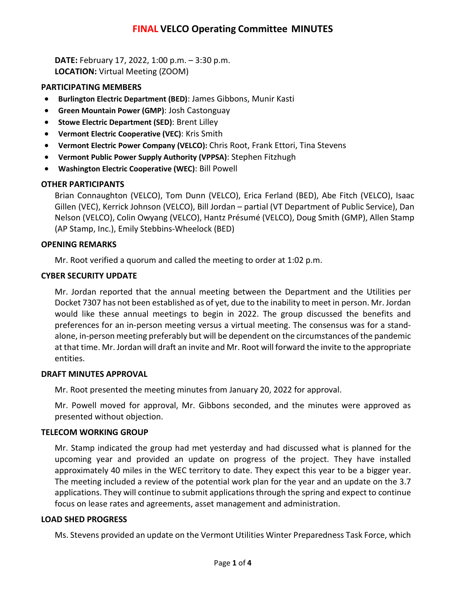# **FINAL VELCO Operating Committee MINUTES**

**DATE:** February 17, 2022, 1:00 p.m. – 3:30 p.m. **LOCATION:** Virtual Meeting (ZOOM)

#### **PARTICIPATING MEMBERS**

- **Burlington Electric Department (BED)**: James Gibbons, Munir Kasti
- **Green Mountain Power (GMP)**: Josh Castonguay
- **Stowe Electric Department (SED)**: Brent Lilley
- **Vermont Electric Cooperative (VEC)**: Kris Smith
- **Vermont Electric Power Company (VELCO):** Chris Root, Frank Ettori, Tina Stevens
- **Vermont Public Power Supply Authority (VPPSA)**: Stephen Fitzhugh
- **Washington Electric Cooperative (WEC)**: Bill Powell

## **OTHER PARTICIPANTS**

Brian Connaughton (VELCO), Tom Dunn (VELCO), Erica Ferland (BED), Abe Fitch (VELCO), Isaac Gillen (VEC), Kerrick Johnson (VELCO), Bill Jordan – partial (VT Department of Public Service), Dan Nelson (VELCO), Colin Owyang (VELCO), Hantz Présumé (VELCO), Doug Smith (GMP), Allen Stamp (AP Stamp, Inc.), Emily Stebbins-Wheelock (BED)

## **OPENING REMARKS**

Mr. Root verified a quorum and called the meeting to order at 1:02 p.m.

## **CYBER SECURITY UPDATE**

Mr. Jordan reported that the annual meeting between the Department and the Utilities per Docket 7307 has not been established as of yet, due to the inability to meet in person. Mr. Jordan would like these annual meetings to begin in 2022. The group discussed the benefits and preferences for an in-person meeting versus a virtual meeting. The consensus was for a standalone, in-person meeting preferably but will be dependent on the circumstances of the pandemic at that time. Mr. Jordan will draft an invite and Mr. Root will forward the invite to the appropriate entities.

#### **DRAFT MINUTES APPROVAL**

Mr. Root presented the meeting minutes from January 20, 2022 for approval.

Mr. Powell moved for approval, Mr. Gibbons seconded, and the minutes were approved as presented without objection.

## **TELECOM WORKING GROUP**

Mr. Stamp indicated the group had met yesterday and had discussed what is planned for the upcoming year and provided an update on progress of the project. They have installed approximately 40 miles in the WEC territory to date. They expect this year to be a bigger year. The meeting included a review of the potential work plan for the year and an update on the 3.7 applications. They will continue to submit applications through the spring and expect to continue focus on lease rates and agreements, asset management and administration.

## **LOAD SHED PROGRESS**

Ms. Stevens provided an update on the Vermont Utilities Winter Preparedness Task Force, which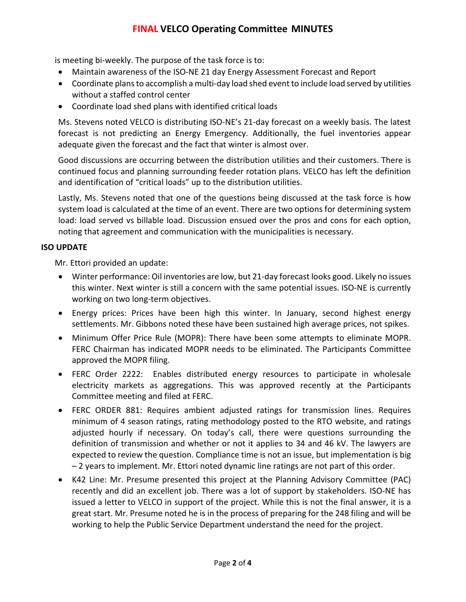# **FINAL VELCO Operating Committee MINUTES**

is meeting bi-weekly. The purpose of the task force is to:

- Maintain awareness of the ISO-NE 21 day Energy Assessment Forecast and Report
- Coordinate plans to accomplish a multi-day load shed event to include load served by utilities without a staffed control center
- Coordinate load shed plans with identified critical loads

Ms. Stevens noted VELCO is distributing ISO-NE's 21-day forecast on a weekly basis. The latest forecast is not predicting an Energy Emergency. Additionally, the fuel inventories appear adequate given the forecast and the fact that winter is almost over.

Good discussions are occurring between the distribution utilities and their customers. There is continued focus and planning surrounding feeder rotation plans. VELCO has left the definition and identification of "critical loads" up to the distribution utilities.

Lastly, Ms. Stevens noted that one of the questions being discussed at the task force is how system load is calculated at the time of an event. There are two options for determining system load: load served vs billable load. Discussion ensued over the pros and cons for each option, noting that agreement and communication with the municipalities is necessary.

## **ISO UPDATE**

Mr. Ettori provided an update:

- Winter performance: Oil inventories are low, but 21-day forecast looks good. Likely no issues this winter. Next winter is still a concern with the same potential issues. ISO-NE is currently working on two long-term objectives.
- Energy prices: Prices have been high this winter. In January, second highest energy settlements. Mr. Gibbons noted these have been sustained high average prices, not spikes.
- Minimum Offer Price Rule (MOPR): There have been some attempts to eliminate MOPR. FERC Chairman has indicated MOPR needs to be eliminated. The Participants Committee approved the MOPR filing.
- FERC Order 2222: Enables distributed energy resources to participate in wholesale electricity markets as aggregations. This was approved recently at the Participants Committee meeting and filed at FERC.
- FERC ORDER 881: Requires ambient adjusted ratings for transmission lines. Requires minimum of 4 season ratings, rating methodology posted to the RTO website, and ratings adjusted hourly if necessary. On today's call, there were questions surrounding the definition of transmission and whether or not it applies to 34 and 46 kV. The lawyers are expected to review the question. Compliance time is not an issue, but implementation is big – 2 years to implement. Mr. Ettori noted dynamic line ratings are not part of this order.
- K42 Line: Mr. Presume presented this project at the Planning Advisory Committee (PAC) recently and did an excellent job. There was a lot of support by stakeholders. ISO-NE has issued a letter to VELCO in support of the project. While this is not the final answer, it is a great start. Mr. Presume noted he is in the process of preparing for the 248 filing and will be working to help the Public Service Department understand the need for the project.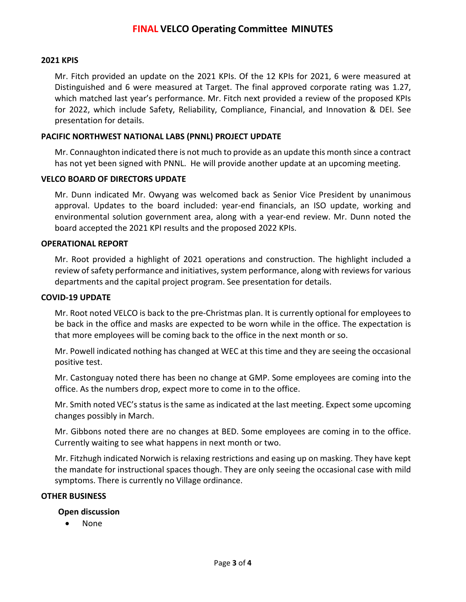## **2021 KPIS**

Mr. Fitch provided an update on the 2021 KPIs. Of the 12 KPIs for 2021, 6 were measured at Distinguished and 6 were measured at Target. The final approved corporate rating was 1.27, which matched last year's performance. Mr. Fitch next provided a review of the proposed KPIs for 2022, which include Safety, Reliability, Compliance, Financial, and Innovation & DEI. See presentation for details.

#### **PACIFIC NORTHWEST NATIONAL LABS (PNNL) PROJECT UPDATE**

Mr. Connaughton indicated there is not much to provide as an update this month since a contract has not yet been signed with PNNL. He will provide another update at an upcoming meeting.

#### **VELCO BOARD OF DIRECTORS UPDATE**

Mr. Dunn indicated Mr. Owyang was welcomed back as Senior Vice President by unanimous approval. Updates to the board included: year-end financials, an ISO update, working and environmental solution government area, along with a year-end review. Mr. Dunn noted the board accepted the 2021 KPI results and the proposed 2022 KPIs.

#### **OPERATIONAL REPORT**

Mr. Root provided a highlight of 2021 operations and construction. The highlight included a review of safety performance and initiatives, system performance, along with reviews for various departments and the capital project program. See presentation for details.

#### **COVID-19 UPDATE**

Mr. Root noted VELCO is back to the pre-Christmas plan. It is currently optional for employees to be back in the office and masks are expected to be worn while in the office. The expectation is that more employees will be coming back to the office in the next month or so.

Mr. Powell indicated nothing has changed at WEC at this time and they are seeing the occasional positive test.

Mr. Castonguay noted there has been no change at GMP. Some employees are coming into the office. As the numbers drop, expect more to come in to the office.

Mr. Smith noted VEC's status is the same as indicated at the last meeting. Expect some upcoming changes possibly in March.

Mr. Gibbons noted there are no changes at BED. Some employees are coming in to the office. Currently waiting to see what happens in next month or two.

Mr. Fitzhugh indicated Norwich is relaxing restrictions and easing up on masking. They have kept the mandate for instructional spaces though. They are only seeing the occasional case with mild symptoms. There is currently no Village ordinance.

#### **OTHER BUSINESS**

#### **Open discussion**

• None